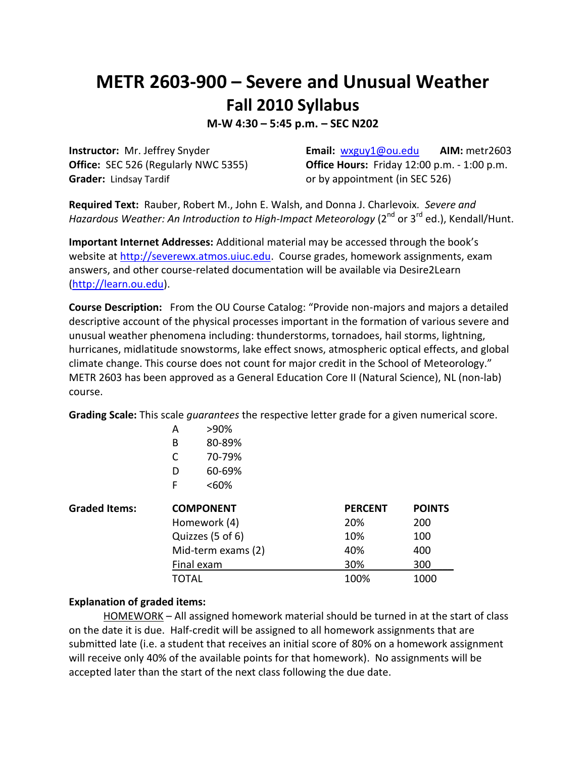## **METR 2603-900 – Severe and Unusual Weather Fall 2010 Syllabus**

**M-W 4:30 – 5:45 p.m. – SEC N202**

Grader: Lindsay Tardif **Canadia** or by appointment (in SEC 526)

**Instructor:** Mr. Jeffrey Snyder **Email:** [wxguy1@ou.edu](mailto:wxguy1@ou.edu) **AIM:** metr2603 **Office:** SEC 526 (Regularly NWC 5355) **Office Hours:** Friday 12:00 p.m. - 1:00 p.m.

**Required Text:** Rauber, Robert M., John E. Walsh, and Donna J. Charlevoix. *Severe and Hazardous Weather: An Introduction to High-Impact Meteorology* (2<sup>nd</sup> or 3<sup>rd</sup> ed.), Kendall/Hunt.

**Important Internet Addresses:** Additional material may be accessed through the book's website at [http://severewx.atmos.uiuc.edu.](http://severewx.atmos.uiuc.edu/) Course grades, homework assignments, exam answers, and other course-related documentation will be available via Desire2Learn [\(http://learn.ou.edu\)](http://learn.ou.edu/).

**Course Description:** From the OU Course Catalog: "Provide non-majors and majors a detailed descriptive account of the physical processes important in the formation of various severe and unusual weather phenomena including: thunderstorms, tornadoes, hail storms, lightning, hurricanes, midlatitude snowstorms, lake effect snows, atmospheric optical effects, and global climate change. This course does not count for major credit in the School of Meteorology." METR 2603 has been approved as a General Education Core II (Natural Science), NL (non-lab) course.

**Grading Scale:** This scale *guarantees* the respective letter grade for a given numerical score.

|                      | A                  | >90%   |                |               |
|----------------------|--------------------|--------|----------------|---------------|
|                      | B                  | 80-89% |                |               |
|                      | С                  | 70-79% |                |               |
|                      | D                  | 60-69% |                |               |
|                      | F                  | <60%   |                |               |
| <b>Graded Items:</b> | <b>COMPONENT</b>   |        | <b>PERCENT</b> | <b>POINTS</b> |
|                      | Homework (4)       |        | 20%            | 200           |
|                      | Quizzes (5 of 6)   |        | 10%            | 100           |
|                      | Mid-term exams (2) |        | 40%            | 400           |
|                      | Final exam         |        | 30%            | 300           |
|                      | TOTAL              |        | 100%           | 1000          |

## **Explanation of graded items:**

HOMEWORK - All assigned homework material should be turned in at the start of class on the date it is due. Half-credit will be assigned to all homework assignments that are submitted late (i.e. a student that receives an initial score of 80% on a homework assignment will receive only 40% of the available points for that homework). No assignments will be accepted later than the start of the next class following the due date.